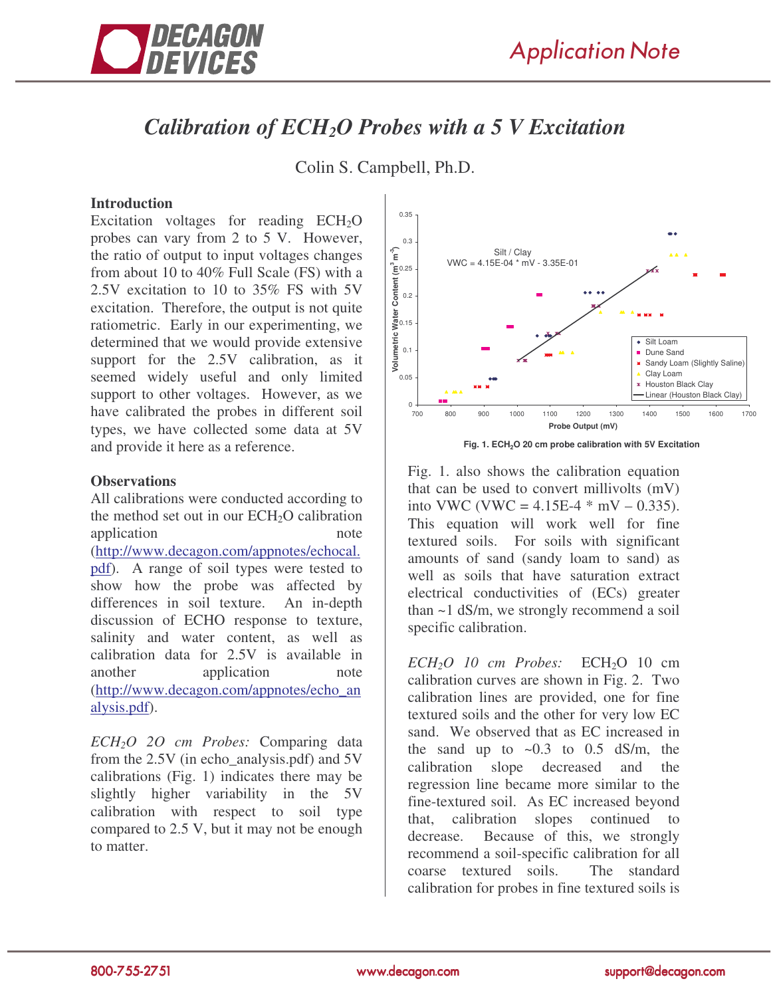

## *Calibration of ECH2O Probes with a 5 V Excitation*

Colin S. Campbell, Ph.D.

## **Introduction**

Excitation voltages for reading  $ECH<sub>2</sub>O$ probes can vary from 2 to 5 V. However, the ratio of output to input voltages changes from about 10 to 40% Full Scale (FS) with a 2.5V excitation to 10 to 35% FS with 5V excitation. Therefore, the output is not quite ratiometric. Early in our experimenting, we determined that we would provide extensive support for the 2.5V calibration, as it seemed widely useful and only limited support to other voltages. However, as we have calibrated the probes in different soil types, we have collected some data at 5V and provide it here as a reference.

## **Observations**

All calibrations were conducted according to the method set out in our  $ECH<sub>2</sub>O$  calibration application note (http://www.decagon.com/appnotes/echocal. pdf). A range of soil types were tested to show how the probe was affected by differences in soil texture. An in-depth discussion of ECHO response to texture, salinity and water content, as well as calibration data for 2.5V is available in another application note (http://www.decagon.com/appnotes/echo\_an alysis.pdf).

*ECH2O 2O cm Probes:* Comparing data from the 2.5V (in echo\_analysis.pdf) and 5V calibrations (Fig. 1) indicates there may be slightly higher variability in the 5V calibration with respect to soil type compared to 2.5 V, but it may not be enough to matter.



**Fig. 1. ECH2O 20 cm probe calibration with 5V Excitation**

Fig. 1. also shows the calibration equation that can be used to convert millivolts (mV) into VWC (VWC =  $4.15E-4$  \* mV – 0.335). This equation will work well for fine textured soils. For soils with significant amounts of sand (sandy loam to sand) as well as soils that have saturation extract electrical conductivities of (ECs) greater than ~1 dS/m, we strongly recommend a soil specific calibration.

 $ECH<sub>2</sub>O$  *10 cm Probes:*  $ECH<sub>2</sub>O$  *10 cm* calibration curves are shown in Fig. 2. Two calibration lines are provided, one for fine textured soils and the other for very low EC sand. We observed that as EC increased in the sand up to  $\sim 0.3$  to 0.5 dS/m, the calibration slope decreased and the regression line became more similar to the fine-textured soil. As EC increased beyond that, calibration slopes continued to decrease. Because of this, we strongly recommend a soil-specific calibration for all coarse textured soils. The standard calibration for probes in fine textured soils is